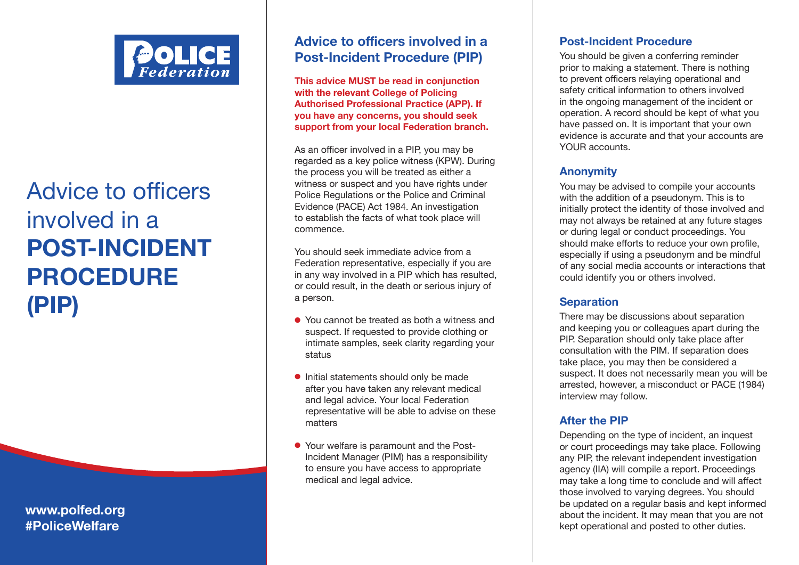

# Advice to officers involved in a **POST-INCIDENT PROCEDURE (PIP)**

**www.polfed.org #PoliceWelfare**

# **Advice to officers involved in a Post-Incident Procedure (PIP)**

**This advice MUST be read in conjunction with the relevant College of Policing Authorised Professional Practice (APP). If you have any concerns, you should seek support from your local Federation branch.**

As an officer involved in a PIP, you may be regarded as a key police witness (KPW). During the process you will be treated as either a witness or suspect and you have rights under Police Regulations or the Police and Criminal Evidence (PACE) Act 1984. An investigation to establish the facts of what took place will commence.

You should seek immediate advice from a Federation representative, especially if you are in any way involved in a PIP which has resulted, or could result, in the death or serious injury of a person.

- l You cannot be treated as both a witness and suspect. If requested to provide clothing or intimate samples, seek clarity regarding your status
- $\bullet$  Initial statements should only be made after you have taken any relevant medical and legal advice. Your local Federation representative will be able to advise on these matters
- Your welfare is paramount and the Post-Incident Manager (PIM) has a responsibility to ensure you have access to appropriate medical and legal advice.

## **Post-Incident Procedure**

You should be given a conferring reminder prior to making a statement. There is nothing to prevent officers relaying operational and safety critical information to others involved in the ongoing management of the incident or operation. A record should be kept of what you have passed on. It is important that your own evidence is accurate and that your accounts are YOUR accounts.

# **Anonymity**

You may be advised to compile your accounts with the addition of a pseudonym. This is to initially protect the identity of those involved and may not always be retained at any future stages or during legal or conduct proceedings. You should make efforts to reduce your own profile, especially if using a pseudonym and be mindful of any social media accounts or interactions that could identify you or others involved.

# **Separation**

There may be discussions about separation and keeping you or colleagues apart during the PIP. Separation should only take place after consultation with the PIM. If separation does take place, you may then be considered a suspect. It does not necessarily mean you will be arrested, however, a misconduct or PACE (1984) interview may follow.

# **After the PIP**

Depending on the type of incident, an inquest or court proceedings may take place. Following any PIP, the relevant independent investigation agency (IIA) will compile a report. Proceedings may take a long time to conclude and will affect those involved to varying degrees. You should be updated on a regular basis and kept informed about the incident. It may mean that you are not kept operational and posted to other duties.